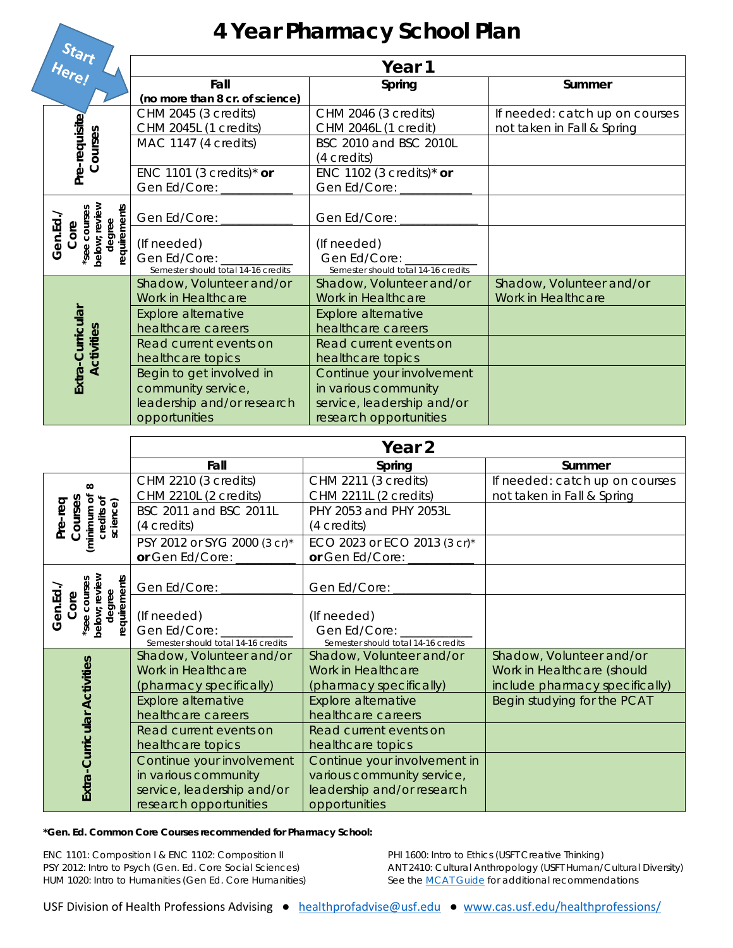## **4 Year Pharmacy School Plan**

| Start<br>Here!                                                            |                                                                                    | Year 1                                                                          |                                                              |  |  |
|---------------------------------------------------------------------------|------------------------------------------------------------------------------------|---------------------------------------------------------------------------------|--------------------------------------------------------------|--|--|
|                                                                           | Fall<br>(no more than 8 cr. of science)                                            | Spring                                                                          | Summer                                                       |  |  |
|                                                                           | CHM 2045 (3 credits)<br>CHM 2045L (1 credits)                                      | CHM 2046 (3 credits)<br>CHM 2046L (1 credit)                                    | If needed: catch up on courses<br>not taken in Fall & Spring |  |  |
| Pre-requisite<br>Courses                                                  | MAC 1147 (4 credits)                                                               | BSC 2010 and BSC 2010L<br>(4 credits)                                           |                                                              |  |  |
|                                                                           | ENC 1101 (3 credits) <sup>*</sup> or<br>Gen Ed/Core:                               | ENC 1102 (3 credits)* or<br>Gen Ed/Core:                                        |                                                              |  |  |
|                                                                           | Gen Ed/Core:                                                                       | Gen Ed/Core:                                                                    |                                                              |  |  |
| below; review<br>degree<br>requirements<br>see courses<br>Gen.Ed.<br>Core | (If needed)<br>Gen Ed/Core:<br>Semester should total 14-16 credits                 | (If needed)<br>Gen Ed/Core: _____<br>Semester should total 14-16 credits        |                                                              |  |  |
|                                                                           | Shadow, Volunteer and/or<br>Work in Healthcare                                     | Shadow, Volunteer and/or<br>Work in Healthcare                                  | Shadow, Volunteer and/or<br>Work in Healthcare               |  |  |
|                                                                           | <b>Explore alternative</b><br>healthcare careers                                   | <b>Explore alternative</b><br>healthcare careers                                |                                                              |  |  |
| <b>Activities</b>                                                         | Read current events on<br>healthcare topics                                        | Read current events on<br>healthcare topics                                     |                                                              |  |  |
| Extra-Curricular                                                          | Begin to get involved in<br>community service,<br>leadership and/or research       | Continue your involvement<br>in various community<br>service, leadership and/or |                                                              |  |  |
|                                                                           | opportunities                                                                      | research opportunities                                                          |                                                              |  |  |
|                                                                           |                                                                                    |                                                                                 |                                                              |  |  |
|                                                                           |                                                                                    | Year <sub>2</sub>                                                               |                                                              |  |  |
|                                                                           | Fall                                                                               | Spring                                                                          | Summer                                                       |  |  |
| $\infty$                                                                  | CHM 2210 (3 credits)                                                               | CHM 2211 (3 credits)                                                            | If needed: catch up on courses                               |  |  |
|                                                                           | CHM 2210L (2 credits)<br>BSC 2011 and BSC 2011L                                    | CHM 2211L (2 credits)<br>PHY 2053 and PHY 2053L                                 | not taken in Fall & Spring                                   |  |  |
| (minimum of<br>credits of<br>science)<br>Courses<br>Pre-req               | (4 credits)<br>PSY 2012 or SYG 2000 (3 cr)*                                        | (4 credits)<br>ECO 2023 or ECO 2013 (3 cr)*                                     |                                                              |  |  |
|                                                                           | or Gen Ed/Core:                                                                    | or Gen Ed/Core:                                                                 |                                                              |  |  |
|                                                                           | Gen Ed/Core:                                                                       | Gen Ed/Core:                                                                    |                                                              |  |  |
| below; review<br>*see courses<br>degree<br>Gen.Ed<br>Core                 | requirements<br>(If needed)<br>Gen Ed/Core:<br>Semester should total 14-16 credits | (If needed)<br>Gen Ed/Core:<br>Semester should total 14-16 credits              |                                                              |  |  |
|                                                                           | Shadow, Volunteer and/or<br>Work in Healthcare                                     | Shadow, Volunteer and/or<br>Work in Healthcare                                  | Shadow, Volunteer and/or<br>Work in Healthcare (should       |  |  |
|                                                                           | (pharmacy specifically)                                                            | (pharmacy specifically)                                                         | include pharmacy specifically)                               |  |  |
|                                                                           | Explore alternative<br>healthcare careers                                          | Explore alternative<br>healthcare careers                                       | Begin studying for the PCAT                                  |  |  |
|                                                                           | Read current events on                                                             | Read current events on                                                          |                                                              |  |  |
| Extra-Curricular Activities                                               | healthcare topics<br>Continue your involvement<br>in various community             | healthcare topics<br>Continue your involvement in<br>various community service, |                                                              |  |  |

**\*Gen. Ed. Common Core Courses recommended for Pharmacy School:** 

service, leadership and/or research opportunities

ENC 1101: Composition I & ENC 1102: Composition II PSY 2012: Intro to Psych (Gen. Ed. Core Social Sciences) HUM 1020: Intro to Humanities (Gen Ed. Core Humanities) PHI 1600: Intro to Ethics (USFT Creative Thinking) ANT 2410: Cultural Anthropology (USFT Human/Cultural Diversity) *See the MCAT Guide for additional recommendations*

opportunities